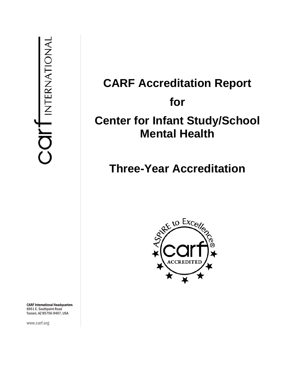# **CARF Accreditation Report for Center for Infant Study/School Mental Health**

# **Three-Year Accreditation**



CARF International Headquarters 6951 E. Southpoint Road Tucson, AZ 85756-9407, USA

www.carf.org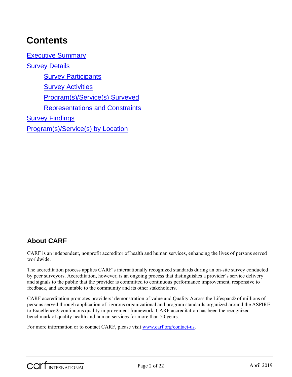## **Contents**

Executive Summary Survey Details **Survey Participants** Survey Activities Program(s)/Service(s) Surveyed Representations and Constraints Survey Findings Program(s)/Service(s) by Location

## **About CARF**

CARF is an independent, nonprofit accreditor of health and human services, enhancing the lives of persons served worldwide.

The accreditation process applies CARF's internationally recognized standards during an on-site survey conducted by peer surveyors. Accreditation, however, is an ongoing process that distinguishes a provider's service delivery and signals to the public that the provider is committed to continuous performance improvement, responsive to feedback, and accountable to the community and its other stakeholders.

CARF accreditation promotes providers' demonstration of value and Quality Across the Lifespan® of millions of persons served through application of rigorous organizational and program standards organized around the ASPIRE to Excellence® continuous quality improvement framework. CARF accreditation has been the recognized benchmark of quality health and human services for more than 50 years.

For more information or to contact CARF, please visit www.carf.org/contact-us.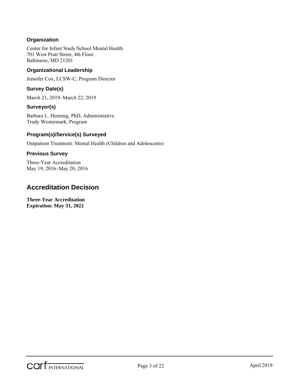#### **Organization**

Center for Infant Study/School Mental Health 701 West Pratt Street, 4th Floor Baltimore, MD 21201

#### **Organizational Leadership**

Jennifer Cox, LCSW-C, Program Director

#### **Survey Date(s)**

March 21, 2019–March 22, 2019

#### **Surveyor(s)**

Barbara L. Henning, PhD, Administrative Trudy Westermark, Program

#### **Program(s)/Service(s) Surveyed**

Outpatient Treatment: Mental Health (Children and Adolescents)

#### **Previous Survey**

Three-Year Accreditation May 19, 2016–May 20, 2016

### **Accreditation Decision**

**Three-Year Accreditation Expiration: May 31, 2022**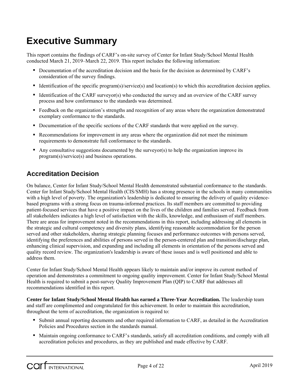## **Executive Summary**

This report contains the findings of CARF's on-site survey of Center for Infant Study/School Mental Health conducted March 21, 2019–March 22, 2019. This report includes the following information:

- Documentation of the accreditation decision and the basis for the decision as determined by CARF's consideration of the survey findings.
- Identification of the specific program(s)/service(s) and location(s) to which this accreditation decision applies.
- Identification of the CARF surveyor(s) who conducted the survey and an overview of the CARF survey process and how conformance to the standards was determined.
- Feedback on the organization's strengths and recognition of any areas where the organization demonstrated exemplary conformance to the standards.
- Documentation of the specific sections of the CARF standards that were applied on the survey.
- Recommendations for improvement in any areas where the organization did not meet the minimum requirements to demonstrate full conformance to the standards.
- Any consultative suggestions documented by the surveyor(s) to help the organization improve its program(s)/service(s) and business operations.

## **Accreditation Decision**

On balance, Center for Infant Study/School Mental Health demonstrated substantial conformance to the standards. Center for Infant Study/School Mental Health (CIS/SMH) has a strong presence in the schools in many communities with a high level of poverty. The organization's leadership is dedicated to ensuring the delivery of quality evidencebased programs with a strong focus on trauma-informed practices. Its staff members are committed to providing patient-focused services that have a positive impact on the lives of the children and families served. Feedback from all stakeholders indicates a high level of satisfaction with the skills, knowledge, and enthusiasm of staff members. There are areas for improvement noted in the recommendations in this report, including addressing all elements in the strategic and cultural competency and diversity plans, identifying reasonable accommodation for the person served and other stakeholders, sharing strategic planning focuses and performance outcomes with persons served, identifying the preferences and abilities of persons served in the person-centered plan and transition/discharge plan, enhancing clinical supervision, and expanding and including all elements in orientation of the persons served and quality record review. The organization's leadership is aware of these issues and is well positioned and able to address them.

Center for Infant Study/School Mental Health appears likely to maintain and/or improve its current method of operation and demonstrates a commitment to ongoing quality improvement. Center for Infant Study/School Mental Health is required to submit a post-survey Quality Improvement Plan (QIP) to CARF that addresses all recommendations identified in this report.

**Center for Infant Study/School Mental Health has earned a Three-Year Accreditation.** The leadership team and staff are complimented and congratulated for this achievement. In order to maintain this accreditation, throughout the term of accreditation, the organization is required to:

- Submit annual reporting documents and other required information to CARF, as detailed in the Accreditation Policies and Procedures section in the standards manual.
- Maintain ongoing conformance to CARF's standards, satisfy all accreditation conditions, and comply with all accreditation policies and procedures, as they are published and made effective by CARF.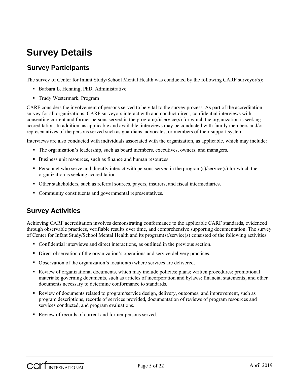## **Survey Details**

## **Survey Participants**

The survey of Center for Infant Study/School Mental Health was conducted by the following CARF surveyor(s):

- Barbara L. Henning, PhD, Administrative
- Trudy Westermark, Program

CARF considers the involvement of persons served to be vital to the survey process. As part of the accreditation survey for all organizations, CARF surveyors interact with and conduct direct, confidential interviews with consenting current and former persons served in the program(s)/service(s) for which the organization is seeking accreditation. In addition, as applicable and available, interviews may be conducted with family members and/or representatives of the persons served such as guardians, advocates, or members of their support system.

Interviews are also conducted with individuals associated with the organization, as applicable, which may include:

- The organization's leadership, such as board members, executives, owners, and managers.
- Business unit resources, such as finance and human resources.
- Personnel who serve and directly interact with persons served in the program(s)/service(s) for which the organization is seeking accreditation.
- Other stakeholders, such as referral sources, payers, insurers, and fiscal intermediaries.
- Community constituents and governmental representatives.

## **Survey Activities**

Achieving CARF accreditation involves demonstrating conformance to the applicable CARF standards, evidenced through observable practices, verifiable results over time, and comprehensive supporting documentation. The survey of Center for Infant Study/School Mental Health and its program(s)/service(s) consisted of the following activities:

- Confidential interviews and direct interactions, as outlined in the previous section.
- Direct observation of the organization's operations and service delivery practices.
- Observation of the organization's location(s) where services are delivered.
- Review of organizational documents, which may include policies; plans; written procedures; promotional materials; governing documents, such as articles of incorporation and bylaws; financial statements; and other documents necessary to determine conformance to standards.
- Review of documents related to program/service design, delivery, outcomes, and improvement, such as program descriptions, records of services provided, documentation of reviews of program resources and services conducted, and program evaluations.
- Review of records of current and former persons served.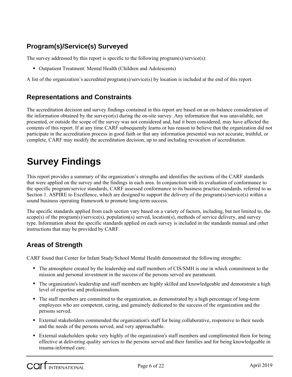## **Program(s)/Service(s) Surveyed**

The survey addressed by this report is specific to the following program(s)/service(s):

Outpatient Treatment: Mental Health (Children and Adolescents)

A list of the organization's accredited program(s)/service(s) by location is included at the end of this report.

### **Representations and Constraints**

The accreditation decision and survey findings contained in this report are based on an on-balance consideration of the information obtained by the surveyor(s) during the on-site survey. Any information that was unavailable, not presented, or outside the scope of the survey was not considered and, had it been considered, may have affected the contents of this report. If at any time CARF subsequently learns or has reason to believe that the organization did not participate in the accreditation process in good faith or that any information presented was not accurate, truthful, or complete, CARF may modify the accreditation decision, up to and including revocation of accreditation.

## **Survey Findings**

This report provides a summary of the organization's strengths and identifies the sections of the CARF standards that were applied on the survey and the findings in each area. In conjunction with its evaluation of conformance to the specific program/service standards, CARF assessed conformance to its business practice standards, referred to as Section 1. ASPIRE to Excellence, which are designed to support the delivery of the program(s)/service(s) within a sound business operating framework to promote long-term success.

The specific standards applied from each section vary based on a variety of factors, including, but not limited to, the scope(s) of the program(s)/service(s), population(s) served, location(s), methods of service delivery, and survey type. Information about the specific standards applied on each survey is included in the standards manual and other instructions that may be provided by CARF.

## **Areas of Strength**

CARF found that Center for Infant Study/School Mental Health demonstrated the following strengths:

- The atmosphere created by the leadership and staff members of CIS/SMH is one in which commitment to the mission and personal investment in the success of the persons served are paramount.
- The organization's leadership and staff members are highly skilled and knowledgeable and demonstrate a high level of expertise and professionalism.
- The staff members are committed to the organization, as demonstrated by a high percentage of long-term employees who are competent, caring, and genuinely dedicated to the success of the organization and the persons served.
- External stakeholders commended the organization's staff for being collaborative, responsive to their needs and the needs of the persons served, and very approachable.
- External stakeholders spoke very highly of the organization's staff members and complimented them for being effective at delivering quality services to the persons served and their families and for being knowledgeable in trauma-informed care.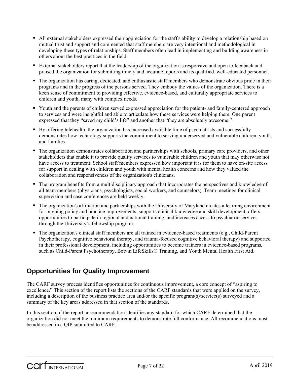- All external stakeholders expressed their appreciation for the staff's ability to develop a relationship based on mutual trust and support and commented that staff members are very intentional and methodological in developing these types of relationships. Staff members often lead in implementing and building awareness in others about the best practices in the field.
- External stakeholders report that the leadership of the organization is responsive and open to feedback and praised the organization for submitting timely and accurate reports and its qualified, well-educated personnel.
- The organization has caring, dedicated, and enthusiastic staff members who demonstrate obvious pride in their programs and in the progress of the persons served. They embody the values of the organization. There is a keen sense of commitment to providing effective, evidence-based, and culturally appropriate services to children and youth, many with complex needs.
- Youth and the parents of children served expressed appreciation for the patient- and family-centered approach to services and were insightful and able to articulate how these services were helping them. One parent expressed that they "saved my child's life" and another that "they are absolutely awesome."
- By offering telehealth, the organization has increased available time of psychiatrists and successfully demonstrates how technology supports the commitment to serving underserved and vulnerable children, youth, and families.
- The organization demonstrates collaboration and partnerships with schools, primary care providers, and other stakeholders that enable it to provide quality services to vulnerable children and youth that may otherwise not have access to treatment. School staff members expressed how important it is for them to have on-site access for support in dealing with children and youth with mental health concerns and how they valued the collaboration and responsiveness of the organization's clinicians.
- The program benefits from a multidisciplinary approach that incorporates the perspectives and knowledge of all team members (physicians, psychologists, social workers, and counselors). Team meetings for clinical supervision and case conferences are held weekly.
- The organization's affiliation and partnerships with the University of Maryland creates a learning environment for ongoing policy and practice improvements, supports clinical knowledge and skill development, offers opportunities to participate in regional and national training, and increases access to psychiatric services through the University's fellowship program.
- The organization's clinical staff members are all trained in evidence-based treatments (e.g., Child-Parent Psychotherapy, cognitive behavioral therapy, and trauma-focused cognitive behavioral therapy) and supported in their professional development, including opportunities to become trainers in evidence-based programs, such as Child-Parent Psychotherapy, Botvin LifeSkills® Training, and Youth Mental Health First Aid.

## **Opportunities for Quality Improvement**

The CARF survey process identifies opportunities for continuous improvement, a core concept of "aspiring to excellence." This section of the report lists the sections of the CARF standards that were applied on the survey, including a description of the business practice area and/or the specific program(s)/service(s) surveyed and a summary of the key areas addressed in that section of the standards.

In this section of the report, a recommendation identifies any standard for which CARF determined that the organization did not meet the minimum requirements to demonstrate full conformance. All recommendations must be addressed in a QIP submitted to CARF.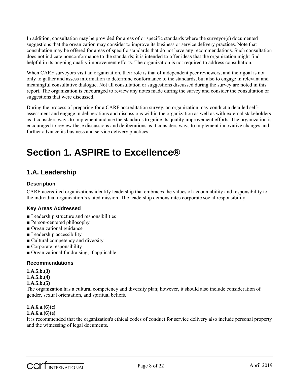In addition, consultation may be provided for areas of or specific standards where the surveyor(s) documented suggestions that the organization may consider to improve its business or service delivery practices. Note that consultation may be offered for areas of specific standards that do not have any recommendations. Such consultation does not indicate nonconformance to the standards; it is intended to offer ideas that the organization might find helpful in its ongoing quality improvement efforts. The organization is not required to address consultation.

When CARF surveyors visit an organization, their role is that of independent peer reviewers, and their goal is not only to gather and assess information to determine conformance to the standards, but also to engage in relevant and meaningful consultative dialogue. Not all consultation or suggestions discussed during the survey are noted in this report. The organization is encouraged to review any notes made during the survey and consider the consultation or suggestions that were discussed.

During the process of preparing for a CARF accreditation survey, an organization may conduct a detailed selfassessment and engage in deliberations and discussions within the organization as well as with external stakeholders as it considers ways to implement and use the standards to guide its quality improvement efforts. The organization is encouraged to review these discussions and deliberations as it considers ways to implement innovative changes and further advance its business and service delivery practices.

## **Section 1. ASPIRE to Excellence®**

## **1.A. Leadership**

#### **Description**

CARF-accredited organizations identify leadership that embraces the values of accountability and responsibility to the individual organization's stated mission. The leadership demonstrates corporate social responsibility.

#### **Key Areas Addressed**

- Leadership structure and responsibilities
- Person-centered philosophy
- Organizational guidance
- Leadership accessibility
- Cultural competency and diversity
- Corporate responsibility
- Organizational fundraising, if applicable

#### **Recommendations**

**1.A.5.b.(3)**

**1.A.5.b.(4)**

#### **1.A.5.b.(5)**

The organization has a cultural competency and diversity plan; however, it should also include consideration of gender, sexual orientation, and spiritual beliefs.

#### **1.A.6.a.(6)(c)**

#### **1.A.6.a.(6)(e)**

It is recommended that the organization's ethical codes of conduct for service delivery also include personal property and the witnessing of legal documents.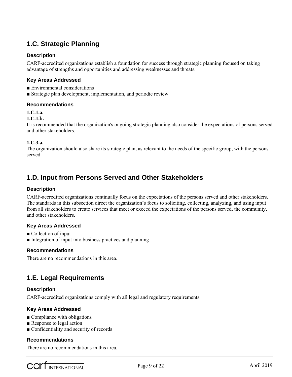## **1.C. Strategic Planning**

#### **Description**

CARF-accredited organizations establish a foundation for success through strategic planning focused on taking advantage of strengths and opportunities and addressing weaknesses and threats.

#### **Key Areas Addressed**

- Environmental considerations
- Strategic plan development, implementation, and periodic review

#### **Recommendations**

#### **1.C.1.a.**

#### **1.C.1.b.**

It is recommended that the organization's ongoing strategic planning also consider the expectations of persons served and other stakeholders.

#### **1.C.3.a.**

The organization should also share its strategic plan, as relevant to the needs of the specific group, with the persons served.

### **1.D. Input from Persons Served and Other Stakeholders**

#### **Description**

CARF-accredited organizations continually focus on the expectations of the persons served and other stakeholders. The standards in this subsection direct the organization's focus to soliciting, collecting, analyzing, and using input from all stakeholders to create services that meet or exceed the expectations of the persons served, the community, and other stakeholders.

#### **Key Areas Addressed**

- Collection of input
- Integration of input into business practices and planning

#### **Recommendations**

There are no recommendations in this area.

## **1.E. Legal Requirements**

#### **Description**

CARF-accredited organizations comply with all legal and regulatory requirements.

#### **Key Areas Addressed**

- $\blacksquare$  Compliance with obligations
- Response to legal action
- Confidentiality and security of records

#### **Recommendations**

There are no recommendations in this area.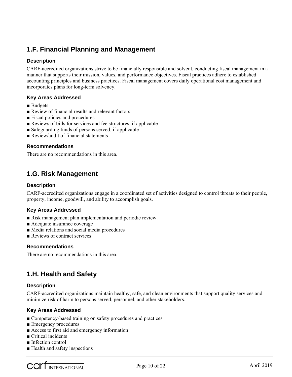## **1.F. Financial Planning and Management**

#### **Description**

CARF-accredited organizations strive to be financially responsible and solvent, conducting fiscal management in a manner that supports their mission, values, and performance objectives. Fiscal practices adhere to established accounting principles and business practices. Fiscal management covers daily operational cost management and incorporates plans for long-term solvency.

#### **Key Areas Addressed**

- Budgets
- Review of financial results and relevant factors
- Fiscal policies and procedures
- Reviews of bills for services and fee structures, if applicable
- Safeguarding funds of persons served, if applicable
- Review/audit of financial statements

#### **Recommendations**

There are no recommendations in this area.

### **1.G. Risk Management**

#### **Description**

CARF-accredited organizations engage in a coordinated set of activities designed to control threats to their people, property, income, goodwill, and ability to accomplish goals.

#### **Key Areas Addressed**

- Risk management plan implementation and periodic review
- Adequate insurance coverage
- Media relations and social media procedures
- Reviews of contract services

#### **Recommendations**

There are no recommendations in this area.

## **1.H. Health and Safety**

#### **Description**

CARF-accredited organizations maintain healthy, safe, and clean environments that support quality services and minimize risk of harm to persons served, personnel, and other stakeholders.

#### **Key Areas Addressed**

- Competency-based training on safety procedures and practices
- Emergency procedures
- Access to first aid and emergency information
- Critical incidents
- Infection control
- Health and safety inspections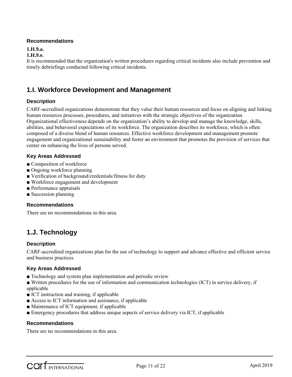#### **1.H.9.a.**

#### **1.H.9.e.**

It is recommended that the organization's written procedures regarding critical incidents also include prevention and timely debriefings conducted following critical incidents.

## **1.I. Workforce Development and Management**

#### **Description**

CARF-accredited organizations demonstrate that they value their human resources and focus on aligning and linking human resources processes, procedures, and initiatives with the strategic objectives of the organization. Organizational effectiveness depends on the organization's ability to develop and manage the knowledge, skills, abilities, and behavioral expectations of its workforce. The organization describes its workforce, which is often composed of a diverse blend of human resources. Effective workforce development and management promote engagement and organizational sustainability and foster an environment that promotes the provision of services that center on enhancing the lives of persons served.

#### **Key Areas Addressed**

- Composition of workforce
- Ongoing workforce planning
- Verification of background/credentials/fitness for duty
- Workforce engagement and development
- Performance appraisals
- Succession planning

#### **Recommendations**

There are no recommendations in this area.

## **1.J. Technology**

#### **Description**

CARF-accredited organizations plan for the use of technology to support and advance effective and efficient service and business practices.

#### **Key Areas Addressed**

■ Technology and system plan implementation and periodic review

■ Written procedures for the use of information and communication technologies (ICT) in service delivery, if applicable

- ICT instruction and training, if applicable
- Access to ICT information and assistance, if applicable
- Maintenance of ICT equipment, if applicable
- Emergency procedures that address unique aspects of service delivery via ICT, if applicable

#### **Recommendations**

There are no recommendations in this area.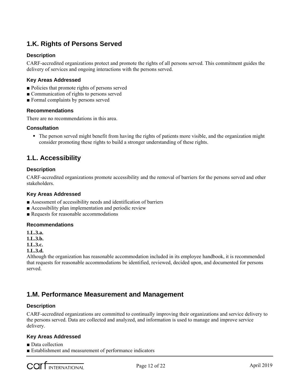## **1.K. Rights of Persons Served**

#### **Description**

CARF-accredited organizations protect and promote the rights of all persons served. This commitment guides the delivery of services and ongoing interactions with the persons served.

#### **Key Areas Addressed**

- Policies that promote rights of persons served
- Communication of rights to persons served
- Formal complaints by persons served

#### **Recommendations**

There are no recommendations in this area.

#### **Consultation**

• The person served might benefit from having the rights of patients more visible, and the organization might consider promoting these rights to build a stronger understanding of these rights.

### **1.L. Accessibility**

#### **Description**

CARF-accredited organizations promote accessibility and the removal of barriers for the persons served and other stakeholders.

#### **Key Areas Addressed**

- Assessment of accessibility needs and identification of barriers
- Accessibility plan implementation and periodic review
- Requests for reasonable accommodations

#### **Recommendations**

**1.L.3.a.**

**1.L.3.b.**

**1.L.3.c.**

#### **1.L.3.d.**

Although the organization has reasonable accommodation included in its employee handbook, it is recommended that requests for reasonable accommodations be identified, reviewed, decided upon, and documented for persons served.

### **1.M. Performance Measurement and Management**

#### **Description**

CARF-accredited organizations are committed to continually improving their organizations and service delivery to the persons served. Data are collected and analyzed, and information is used to manage and improve service delivery.

#### **Key Areas Addressed**

■ Data collection

■ Establishment and measurement of performance indicators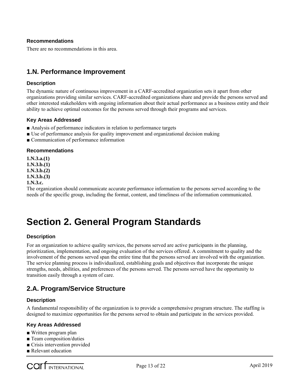There are no recommendations in this area.

### **1.N. Performance Improvement**

#### **Description**

The dynamic nature of continuous improvement in a CARF-accredited organization sets it apart from other organizations providing similar services. CARF-accredited organizations share and provide the persons served and other interested stakeholders with ongoing information about their actual performance as a business entity and their ability to achieve optimal outcomes for the persons served through their programs and services.

#### **Key Areas Addressed**

- Analysis of performance indicators in relation to performance targets
- Use of performance analysis for quality improvement and organizational decision making
- Communication of performance information

#### **Recommendations**

**1.N.3.a.(1) 1.N.3.b.(1) 1.N.3.b.(2) 1.N.3.b.(3) 1.N.3.c.**

The organization should communicate accurate performance information to the persons served according to the needs of the specific group, including the format, content, and timeliness of the information communicated.

## **Section 2. General Program Standards**

#### **Description**

For an organization to achieve quality services, the persons served are active participants in the planning, prioritization, implementation, and ongoing evaluation of the services offered. A commitment to quality and the involvement of the persons served span the entire time that the persons served are involved with the organization. The service planning process is individualized, establishing goals and objectives that incorporate the unique strengths, needs, abilities, and preferences of the persons served. The persons served have the opportunity to transition easily through a system of care.

## **2.A. Program/Service Structure**

#### **Description**

A fundamental responsibility of the organization is to provide a comprehensive program structure. The staffing is designed to maximize opportunities for the persons served to obtain and participate in the services provided.

#### **Key Areas Addressed**

- Written program plan
- Team composition/duties
- Crisis intervention provided
- Relevant education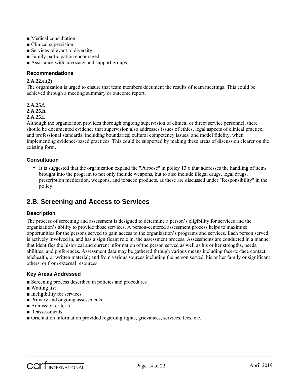- Medical consultation
- Clinical supervision
- Services relevant to diversity
- Family participation encouraged
- Assistance with advocacy and support groups

#### **2.A.22.e.(2)**

The organization is urged to ensure that team members document the results of team meetings. This could be achieved through a meeting summary or outcome report.

#### **2.A.25.f.**

**2.A.25.h.**

#### **2.A.25.i.**

Although the organization provides thorough ongoing supervision of clinical or direct service personnel, there should be documented evidence that supervision also addresses issues of ethics, legal aspects of clinical practice, and professional standards, including boundaries; cultural competency issues; and model fidelity, when implementing evidence-based practices. This could be supported by making these areas of discussion clearer on the existing form.

#### **Consultation**

 It is suggested that the organization expand the "Purpose" in policy 13.6 that addresses the handling of items brought into the program to not only include weapons, but to also include illegal drugs, legal drugs, prescription medication, weapons, and tobacco products, as these are discussed under "Responsibility" in the policy.

### **2.B. Screening and Access to Services**

#### **Description**

The process of screening and assessment is designed to determine a person's eligibility for services and the organization's ability to provide those services. A person-centered assessment process helps to maximize opportunities for the persons served to gain access to the organization's programs and services. Each person served is actively involved in, and has a significant role in, the assessment process. Assessments are conducted in a manner that identifies the historical and current information of the person served as well as his or her strengths, needs, abilities, and preferences. Assessment data may be gathered through various means including face-to-face contact, telehealth, or written material; and from various sources including the person served, his or her family or significant others, or from external resources.

#### **Key Areas Addressed**

- Screening process described in policies and procedures
- Waiting list
- Ineligibility for services
- Primary and ongoing assessments
- Admission criteria
- Reassessments
- Orientation information provided regarding rights, grievances, services, fees, etc.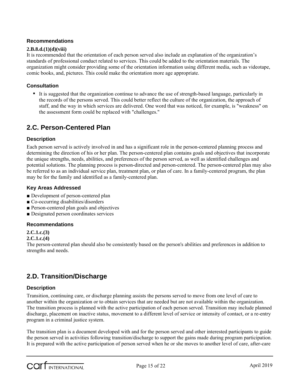#### **2.B.8.d.(1)(d)(viii)**

It is recommended that the orientation of each person served also include an explanation of the organization's standards of professional conduct related to services. This could be added to the orientation materials. The organization might consider providing some of the orientation information using different media, such as videotape, comic books, and, pictures. This could make the orientation more age appropriate.

#### **Consultation**

 It is suggested that the organization continue to advance the use of strength-based language, particularly in the records of the persons served. This could better reflect the culture of the organization, the approach of staff, and the way in which services are delivered. One word that was noticed, for example, is "weakness" on the assessment form could be replaced with "challenges."

## **2.C. Person-Centered Plan**

#### **Description**

Each person served is actively involved in and has a significant role in the person-centered planning process and determining the direction of his or her plan. The person-centered plan contains goals and objectives that incorporate the unique strengths, needs, abilities, and preferences of the person served, as well as identified challenges and potential solutions. The planning process is person-directed and person-centered. The person-centered plan may also be referred to as an individual service plan, treatment plan, or plan of care. In a family-centered program, the plan may be for the family and identified as a family-centered plan.

#### **Key Areas Addressed**

- Development of person-centered plan
- Co-occurring disabilities/disorders
- Person-centered plan goals and objectives
- Designated person coordinates services

#### **Recommendations**

#### **2.C.1.c.(3)**

#### **2.C.1.c.(4)**

The person-centered plan should also be consistently based on the person's abilities and preferences in addition to strengths and needs.

## **2.D. Transition/Discharge**

#### **Description**

Transition, continuing care, or discharge planning assists the persons served to move from one level of care to another within the organization or to obtain services that are needed but are not available within the organization. The transition process is planned with the active participation of each person served. Transition may include planned discharge, placement on inactive status, movement to a different level of service or intensity of contact, or a re-entry program in a criminal justice system.

The transition plan is a document developed with and for the person served and other interested participants to guide the person served in activities following transition/discharge to support the gains made during program participation. It is prepared with the active participation of person served when he or she moves to another level of care, after-care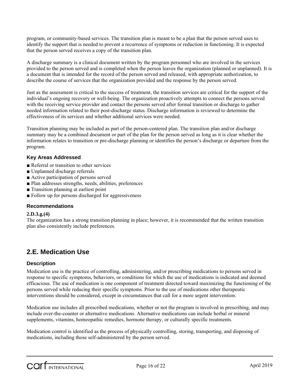program, or community-based services. The transition plan is meant to be a plan that the person served uses to identify the support that is needed to prevent a recurrence of symptoms or reduction in functioning. It is expected that the person served receives a copy of the transition plan.

A discharge summary is a clinical document written by the program personnel who are involved in the services provided to the person served and is completed when the person leaves the organization (planned or unplanned). It is a document that is intended for the record of the person served and released, with appropriate authorization, to describe the course of services that the organization provided and the response by the person served.

Just as the assessment is critical to the success of treatment, the transition services are critical for the support of the individual's ongoing recovery or well-being. The organization proactively attempts to connect the persons served with the receiving service provider and contact the persons served after formal transition or discharge to gather needed information related to their post-discharge status. Discharge information is reviewed to determine the effectiveness of its services and whether additional services were needed.

Transition planning may be included as part of the person-centered plan. The transition plan and/or discharge summary may be a combined document or part of the plan for the person served as long as it is clear whether the information relates to transition or pre-discharge planning or identifies the person's discharge or departure from the program.

#### **Key Areas Addressed**

- Referral or transition to other services
- Unplanned discharge referrals
- Active participation of persons served
- Plan addresses strengths, needs, abilities, preferences
- Transition planning at earliest point
- Follow up for persons discharged for aggressiveness

#### **Recommendations**

#### **2.D.3.g.(4)**

The organization has a strong transition planning in place; however, it is recommended that the written transition plan also consistently include preferences.

### **2.E. Medication Use**

#### **Description**

Medication use is the practice of controlling, administering, and/or prescribing medications to persons served in response to specific symptoms, behaviors, or conditions for which the use of medications is indicated and deemed efficacious. The use of medication is one component of treatment directed toward maximizing the functioning of the persons served while reducing their specific symptoms. Prior to the use of medications other therapeutic interventions should be considered, except in circumstances that call for a more urgent intervention.

Medication use includes all prescribed medications, whether or not the program is involved in prescribing, and may include over-the-counter or alternative medications. Alternative medications can include herbal or mineral supplements, vitamins, homeopathic remedies, hormone therapy, or culturally specific treatments.

Medication control is identified as the process of physically controlling, storing, transporting, and disposing of medications, including those self-administered by the person served.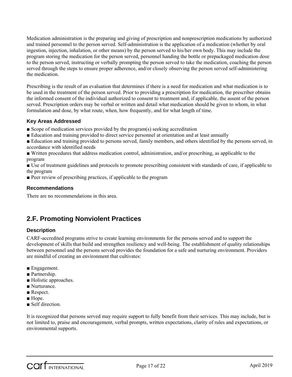Medication administration is the preparing and giving of prescription and nonprescription medications by authorized and trained personnel to the person served. Self-administration is the application of a medication (whether by oral ingestion, injection, inhalation, or other means) by the person served to his/her own body. This may include the program storing the medication for the person served, personnel handing the bottle or prepackaged medication dose to the person served, instructing or verbally prompting the person served to take the medication, coaching the person served through the steps to ensure proper adherence, and/or closely observing the person served self-administering the medication.

Prescribing is the result of an evaluation that determines if there is a need for medication and what medication is to be used in the treatment of the person served. Prior to providing a prescription for medication, the prescriber obtains the informed consent of the individual authorized to consent to treatment and, if applicable, the assent of the person served. Prescription orders may be verbal or written and detail what medication should be given to whom, in what formulation and dose, by what route, when, how frequently, and for what length of time.

#### **Key Areas Addressed**

- Scope of medication services provided by the program(s) seeking accreditation
- Education and training provided to direct service personnel at orientation and at least annually

■ Education and training provided to persons served, family members, and others identified by the persons served, in accordance with identified needs

■ Written procedures that address medication control, administration, and/or prescribing, as applicable to the program

■ Use of treatment guidelines and protocols to promote prescribing consistent with standards of care, if applicable to the program

■ Peer review of prescribing practices, if applicable to the program

#### **Recommendations**

There are no recommendations in this area.

## **2.F. Promoting Nonviolent Practices**

#### **Description**

CARF-accredited programs strive to create learning environments for the persons served and to support the development of skills that build and strengthen resiliency and well-being. The establishment of quality relationships between personnel and the persons served provides the foundation for a safe and nurturing environment. Providers are mindful of creating an environment that cultivates:

- Engagement.
- Partnership.
- Holistic approaches.
- Nurturance.
- Respect.
- Hope
- Self direction.

It is recognized that persons served may require support to fully benefit from their services. This may include, but is not limited to, praise and encouragement, verbal prompts, written expectations, clarity of rules and expectations, or environmental supports.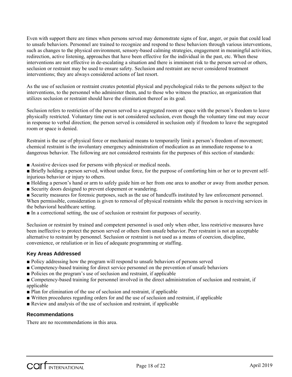Even with support there are times when persons served may demonstrate signs of fear, anger, or pain that could lead to unsafe behaviors. Personnel are trained to recognize and respond to these behaviors through various interventions, such as changes to the physical environment, sensory-based calming strategies, engagement in meaningful activities, redirection, active listening, approaches that have been effective for the individual in the past, etc. When these interventions are not effective in de-escalating a situation and there is imminent risk to the person served or others, seclusion or restraint may be used to ensure safety. Seclusion and restraint are never considered treatment interventions; they are always considered actions of last resort.

As the use of seclusion or restraint creates potential physical and psychological risks to the persons subject to the interventions, to the personnel who administer them, and to those who witness the practice, an organization that utilizes seclusion or restraint should have the elimination thereof as its goal.

Seclusion refers to restriction of the person served to a segregated room or space with the person's freedom to leave physically restricted. Voluntary time out is not considered seclusion, even though the voluntary time out may occur in response to verbal direction; the person served is considered in seclusion only if freedom to leave the segregated room or space is denied.

Restraint is the use of physical force or mechanical means to temporarily limit a person's freedom of movement; chemical restraint is the involuntary emergency administration of medication as an immediate response to a dangerous behavior. The following are not considered restraints for the purposes of this section of standards:

- Assistive devices used for persons with physical or medical needs.
- Briefly holding a person served, without undue force, for the purpose of comforting him or her or to prevent selfinjurious behavior or injury to others.
- Holding a person's hand or arm to safely guide him or her from one area to another or away from another person.
- Security doors designed to prevent elopement or wandering.
- Security measures for forensic purposes, such as the use of handcuffs instituted by law enforcement personnel. When permissible, consideration is given to removal of physical restraints while the person is receiving services in the behavioral healthcare setting.
- In a correctional setting, the use of seclusion or restraint for purposes of security.

Seclusion or restraint by trained and competent personnel is used only when other, less restrictive measures have been ineffective to protect the person served or others from unsafe behavior. Peer restraint is not an acceptable alternative to restraint by personnel. Seclusion or restraint is not used as a means of coercion, discipline, convenience, or retaliation or in lieu of adequate programming or staffing.

#### **Key Areas Addressed**

- Policy addressing how the program will respond to unsafe behaviors of persons served
- Competency-based training for direct service personnel on the prevention of unsafe behaviors
- Policies on the program's use of seclusion and restraint, if applicable

■ Competency-based training for personnel involved in the direct administration of seclusion and restraint, if applicable

- Plan for elimination of the use of seclusion and restraint, if applicable
- Written procedures regarding orders for and the use of seclusion and restraint, if applicable
- Review and analysis of the use of seclusion and restraint, if applicable

#### **Recommendations**

There are no recommendations in this area.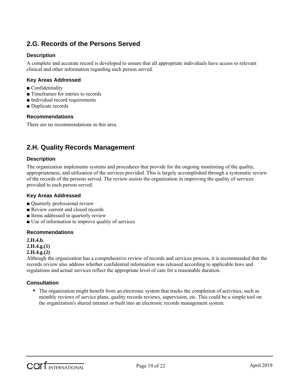## **2.G. Records of the Persons Served**

#### **Description**

A complete and accurate record is developed to ensure that all appropriate individuals have access to relevant clinical and other information regarding each person served.

#### **Key Areas Addressed**

- Confidentiality
- Timeframes for entries to records
- Individual record requirements
- Duplicate records

#### **Recommendations**

There are no recommendations in this area.

## **2.H. Quality Records Management**

#### **Description**

The organization implements systems and procedures that provide for the ongoing monitoring of the quality, appropriateness, and utilization of the services provided. This is largely accomplished through a systematic review of the records of the persons served. The review assists the organization in improving the quality of services provided to each person served.

#### **Key Areas Addressed**

- Quarterly professional review
- Review current and closed records
- Items addressed in quarterly review
- Use of information to improve quality of services

#### **Recommendations**

**2.H.4.b. 2.H.4.g.(1) 2.H.4.g.(2)**

Although the organization has a comprehensive review of records and services process, it is recommended that the records review also address whether confidential information was released according to applicable laws and regulations and actual services reflect the appropriate level of care for a reasonable duration.

#### **Consultation**

• The organization might benefit from an electronic system that tracks the completion of activities, such as monthly reviews of service plans, quality records reviews, supervision, etc. This could be a simple tool on the organization's shared intranet or built into an electronic records management system.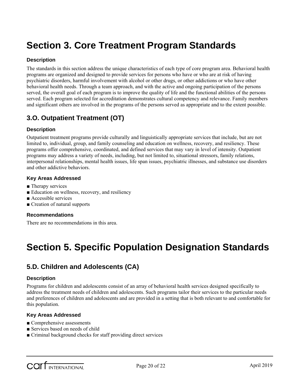## **Section 3. Core Treatment Program Standards**

#### **Description**

The standards in this section address the unique characteristics of each type of core program area. Behavioral health programs are organized and designed to provide services for persons who have or who are at risk of having psychiatric disorders, harmful involvement with alcohol or other drugs, or other addictions or who have other behavioral health needs. Through a team approach, and with the active and ongoing participation of the persons served, the overall goal of each program is to improve the quality of life and the functional abilities of the persons served. Each program selected for accreditation demonstrates cultural competency and relevance. Family members and significant others are involved in the programs of the persons served as appropriate and to the extent possible.

## **3.O. Outpatient Treatment (OT)**

#### **Description**

Outpatient treatment programs provide culturally and linguistically appropriate services that include, but are not limited to, individual, group, and family counseling and education on wellness, recovery, and resiliency. These programs offer comprehensive, coordinated, and defined services that may vary in level of intensity. Outpatient programs may address a variety of needs, including, but not limited to, situational stressors, family relations, interpersonal relationships, mental health issues, life span issues, psychiatric illnesses, and substance use disorders and other addictive behaviors.

#### **Key Areas Addressed**

- Therapy services
- Education on wellness, recovery, and resiliency
- Accessible services
- Creation of natural supports

#### **Recommendations**

There are no recommendations in this area.

## **Section 5. Specific Population Designation Standards**

## **5.D. Children and Adolescents (CA)**

#### **Description**

Programs for children and adolescents consist of an array of behavioral health services designed specifically to address the treatment needs of children and adolescents. Such programs tailor their services to the particular needs and preferences of children and adolescents and are provided in a setting that is both relevant to and comfortable for this population.

#### **Key Areas Addressed**

- Comprehensive assessments
- Services based on needs of child
- Criminal background checks for staff providing direct services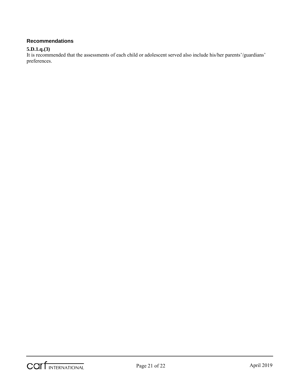#### **5.D.1.q.(3)**

It is recommended that the assessments of each child or adolescent served also include his/her parents'/guardians' preferences.